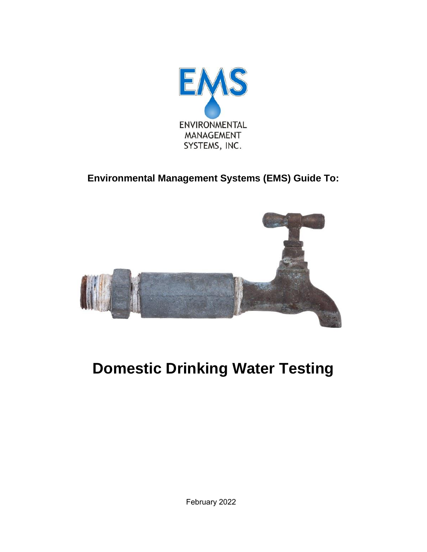

**Environmental Management Systems (EMS) Guide To:**



# **Domestic Drinking Water Testing**

February 2022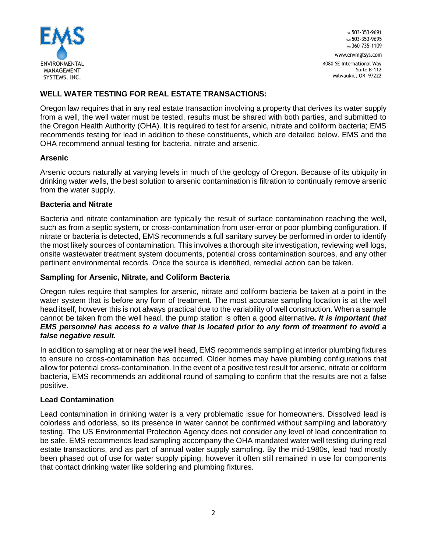

OR: 503-353-9691 FAX: 503-353-9695 wa: 360-735-1109 www.envmgtsys.com

4080 SE International Way Suite B-112 Milwaukie, OR 97222

# **WELL WATER TESTING FOR REAL ESTATE TRANSACTIONS:**

Oregon law requires that in any real estate transaction involving a property that derives its water supply from a well, the well water must be tested, results must be shared with both parties, and submitted to the Oregon Health Authority (OHA). It is required to test for arsenic, nitrate and coliform bacteria; EMS recommends testing for lead in addition to these constituents, which are detailed below. EMS and the OHA recommend annual testing for bacteria, nitrate and arsenic.

## **Arsenic**

Arsenic occurs naturally at varying levels in much of the geology of Oregon. Because of its ubiquity in drinking water wells, the best solution to arsenic contamination is filtration to continually remove arsenic from the water supply.

#### **Bacteria and Nitrate**

Bacteria and nitrate contamination are typically the result of surface contamination reaching the well, such as from a septic system, or cross-contamination from user-error or poor plumbing configuration. If nitrate or bacteria is detected, EMS recommends a full sanitary survey be performed in order to identify the most likely sources of contamination. This involves a thorough site investigation, reviewing well logs, onsite wastewater treatment system documents, potential cross contamination sources, and any other pertinent environmental records. Once the source is identified, remedial action can be taken.

#### **Sampling for Arsenic, Nitrate, and Coliform Bacteria**

Oregon rules require that samples for arsenic, nitrate and coliform bacteria be taken at a point in the water system that is before any form of treatment. The most accurate sampling location is at the well head itself, however this is not always practical due to the variability of well construction. When a sample cannot be taken from the well head, the pump station is often a good alternative*. It is important that EMS personnel has access to a valve that is located prior to any form of treatment to avoid a false negative result.*

In addition to sampling at or near the well head, EMS recommends sampling at interior plumbing fixtures to ensure no cross-contamination has occurred. Older homes may have plumbing configurations that allow for potential cross-contamination. In the event of a positive test result for arsenic, nitrate or coliform bacteria, EMS recommends an additional round of sampling to confirm that the results are not a false positive.

## **Lead Contamination**

Lead contamination in drinking water is a very problematic issue for homeowners. Dissolved lead is colorless and odorless, so its presence in water cannot be confirmed without sampling and laboratory testing. The US Environmental Protection Agency does not consider any level of lead concentration to be safe. EMS recommends lead sampling accompany the OHA mandated water well testing during real estate transactions, and as part of annual water supply sampling. By the mid-1980s, lead had mostly been phased out of use for water supply piping, however it often still remained in use for components that contact drinking water like soldering and plumbing fixtures.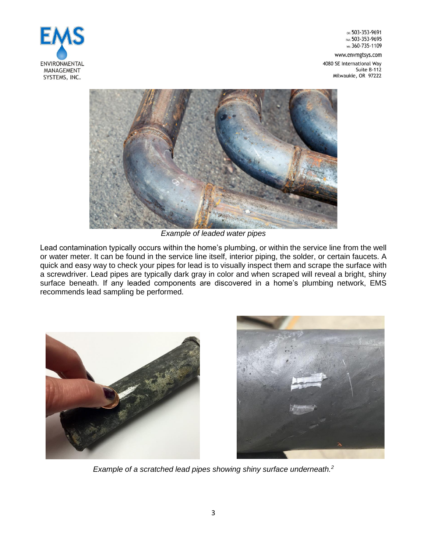

OR: 503-353-9691 FAX: 503-353-9695 wa: 360-735-1109

www.envmgtsys.com 4080 SE International Way Suite B-112 Milwaukie, OR 97222



*Example of leaded water pipes*

Lead contamination typically occurs within the home's plumbing, or within the service line from the well or water meter. It can be found in the service line itself, interior piping, the solder, or certain faucets. A quick and easy way to check your pipes for lead is to visually inspect them and scrape the surface with a screwdriver. Lead pipes are typically dark gray in color and when scraped will reveal a bright, shiny surface beneath. If any leaded components are discovered in a home's plumbing network, EMS recommends lead sampling be performed.





*Example of a scratched lead pipes showing shiny surface underneath.<sup>2</sup>*